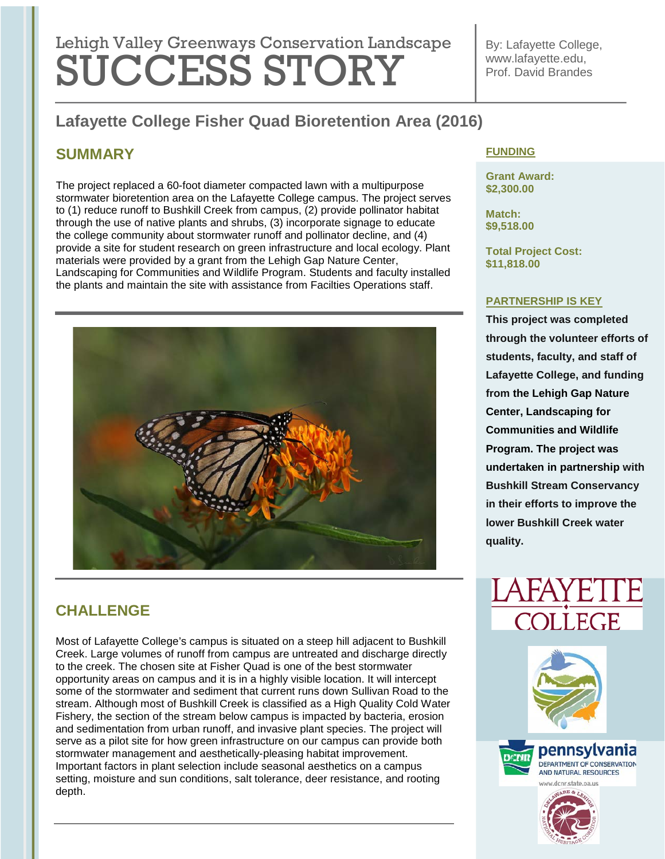# Lehigh Valley Greenways Conservation Landscape SUCCESS STORY

By: Lafayette College, www.lafayette.edu, Prof. David Brandes

## **Lafayette College Fisher Quad Bioretention Area (2016)**

## **SUMMARY**

The project replaced a 60-foot diameter compacted lawn with a multipurpose stormwater bioretention area on the Lafayette College campus. The project serves to (1) reduce runoff to Bushkill Creek from campus, (2) provide pollinator habitat through the use of native plants and shrubs, (3) incorporate signage to educate the college community about stormwater runoff and pollinator decline, and (4) provide a site for student research on green infrastructure and local ecology. Plant materials were provided by a grant from the Lehigh Gap Nature Center, Landscaping for Communities and Wildlife Program. Students and faculty installed the plants and maintain the site with assistance from Facilties Operations staff.



## **CHALLENGE**

Most of Lafayette College's campus is situated on a steep hill adjacent to Bushkill Creek. Large volumes of runoff from campus are untreated and discharge directly to the creek. The chosen site at Fisher Quad is one of the best stormwater opportunity areas on campus and it is in a highly visible location. It will intercept some of the stormwater and sediment that current runs down Sullivan Road to the stream. Although most of Bushkill Creek is classified as a High Quality Cold Water Fishery, the section of the stream below campus is impacted by bacteria, erosion and sedimentation from urban runoff, and invasive plant species. The project will serve as a pilot site for how green infrastructure on our campus can provide both stormwater management and aesthetically-pleasing habitat improvement. Important factors in plant selection include seasonal aesthetics on a campus setting, moisture and sun conditions, salt tolerance, deer resistance, and rooting depth.

#### **FUNDING**

**Grant Award: \$2,300.00**

**Match: \$9,518.00**

**Total Project Cost: \$11,818.00**

#### **PARTNERSHIP IS KEY**

**This project was completed through the volunteer efforts of students, faculty, and staff of Lafayette College, and funding from the Lehigh Gap Nature Center, Landscaping for Communities and Wildlife Program. The project was undertaken in partnership with Bushkill Stream Conservancy in their efforts to improve the lower Bushkill Creek water quality.**